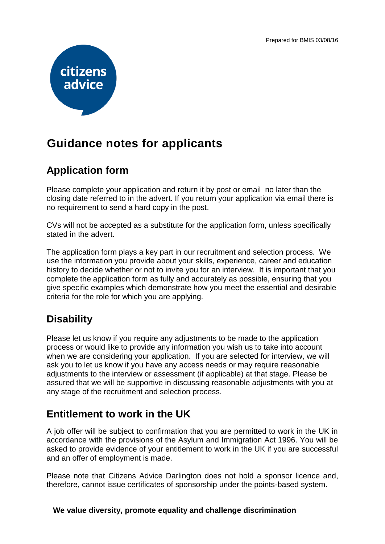

# **Guidance notes for applicants**

## **Application form**

Please complete your application and return it by post or email no later than the closing date referred to in the advert. If you return your application via email there is no requirement to send a hard copy in the post.

CVs will not be accepted as a substitute for the application form, unless specifically stated in the advert.

The application form plays a key part in our recruitment and selection process. We use the information you provide about your skills, experience, career and education history to decide whether or not to invite you for an interview. It is important that you complete the application form as fully and accurately as possible, ensuring that you give specific examples which demonstrate how you meet the essential and desirable criteria for the role for which you are applying.

## **Disability**

Please let us know if you require any adjustments to be made to the application process or would like to provide any information you wish us to take into account when we are considering your application. If you are selected for interview, we will ask you to let us know if you have any access needs or may require reasonable adjustments to the interview or assessment (if applicable) at that stage. Please be assured that we will be supportive in discussing reasonable adjustments with you at any stage of the recruitment and selection process.

## **Entitlement to work in the UK**

A job offer will be subject to confirmation that you are permitted to work in the UK in accordance with the provisions of the Asylum and Immigration Act 1996. You will be asked to provide evidence of your entitlement to work in the UK if you are successful and an offer of employment is made.

Please note that Citizens Advice Darlington does not hold a sponsor licence and, therefore, cannot issue certificates of sponsorship under the points-based system.

#### **We value diversity, promote equality and challenge discrimination**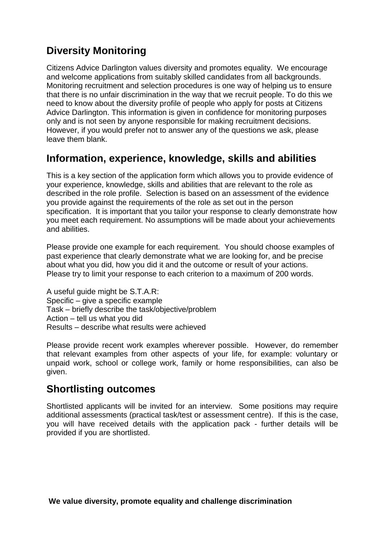## **Diversity Monitoring**

Citizens Advice Darlington values diversity and promotes equality. We encourage and welcome applications from suitably skilled candidates from all backgrounds. Monitoring recruitment and selection procedures is one way of helping us to ensure that there is no unfair discrimination in the way that we recruit people. To do this we need to know about the diversity profile of people who apply for posts at Citizens Advice Darlington. This information is given in confidence for monitoring purposes only and is not seen by anyone responsible for making recruitment decisions. However, if you would prefer not to answer any of the questions we ask, please leave them blank.

#### **Information, experience, knowledge, skills and abilities**

This is a key section of the application form which allows you to provide evidence of your experience, knowledge, skills and abilities that are relevant to the role as described in the role profile. Selection is based on an assessment of the evidence you provide against the requirements of the role as set out in the person specification. It is important that you tailor your response to clearly demonstrate how you meet each requirement. No assumptions will be made about your achievements and abilities.

Please provide one example for each requirement. You should choose examples of past experience that clearly demonstrate what we are looking for, and be precise about what you did, how you did it and the outcome or result of your actions. Please try to limit your response to each criterion to a maximum of 200 words.

A useful guide might be S.T.A.R: Specific – give a specific example Task – briefly describe the task/objective/problem Action – tell us what you did Results – describe what results were achieved

Please provide recent work examples wherever possible. However, do remember that relevant examples from other aspects of your life, for example: voluntary or unpaid work, school or college work, family or home responsibilities, can also be given.

## **Shortlisting outcomes**

Shortlisted applicants will be invited for an interview. Some positions may require additional assessments (practical task/test or assessment centre). If this is the case, you will have received details with the application pack - further details will be provided if you are shortlisted.